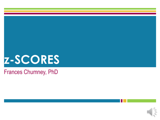

#### Frances Chumney, PhD

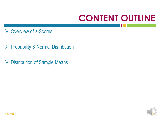## **CONTENT OUTLINE**

- Overview of *z*-Scores
- ▶ Probability & Normal Distribution
- **► Distribution of Sample Means**



**Z-SCORES** 2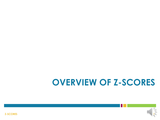### **OVERVIEW OF Z-SCORES**

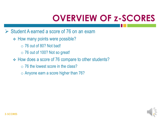# **OVERVIEW OF z-SCORES**

- $\triangleright$  Student A earned a score of 76 on an exam
	- **← How many points were possible?** 
		- $\circ$  76 out of 80? Not bad!
		- o 76 out of 100? Not so great!
	- How does a score of 76 compare to other students?
		- $\circ$  76 the lowest score in the class?
		- o Anyone earn a score higher than 76?

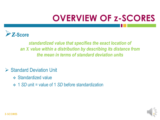# **OVERVIEW OF z-SCORES**



*standardized value that specifies the exact location of an X value within a distribution by describing its distance from the mean in terms of standard deviation units*

#### $\triangleright$  Standard Deviation Unit

- **❖ Standardized value**
- 1 *SD* unit = value of 1 *SD* before standardization

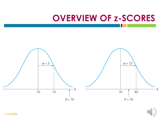### **OVERVIEW OF z-SCORES**





**Z-SCORES** 6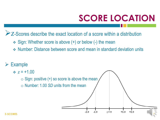# **SCORE LOCATION**

 $+1.0$ 

 $+2.0$ 

 $\geq$  *z*-Scores describe the exact location of a score within a distribution

- Sign: Whether score is above (+) or below (-) the mean
- Number: Distance between score and mean in standard deviation units

 $-2.0$ 

 $-1.0$ 

 $z=0$ 

Example





o Number: 1.00 *SD* units from the mean

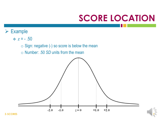### **SCORE LOCATION**

- $\div z = -0.50$ 
	- o Sign: negative (-) so score is below the mean
	- o Number: .50 *SD* units from the mean



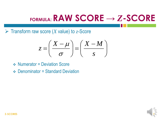Transform raw score (*X* value) to *z*-Score

$$
z = \left(\frac{X - \mu}{\sigma}\right) = \left(\frac{X - M}{s}\right)
$$

- **❖ Numerator = Deviation Score**
- $\triangle$  Denominator = Standard Deviation

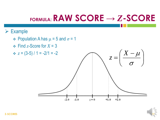- $\div$  Population A has  $\mu$  = 5 and  $\sigma$  = 1
- $\div$  Find *z*-Score for *X* = 3



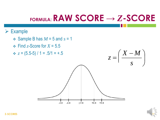$+2.0$ 

 $+1.0$ 

#### $\triangleright$  Example

 $\div$  Sample B has  $M = 5$  and  $s = 1$  $\div$  Find *z*-Score for *X* = 5.5  $\div z = (5.5-5) / 1 = .5/1 = +.5$  $\overline{\phantom{a}}$  $\mathbf{I}$  $\bigl( \begin{array}{c} X \end{array} \bigr)$  $\equiv$ *s X M z*

 $-2.0$ 

 $-1.0$ 

 $z=0$ 



 $\bigg)$ 

 $\int$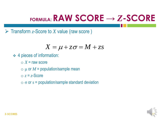$\triangleright$  Transform *z*-Score to *X* value (raw score)

$$
X = \mu + z\sigma = M + zs
$$

- 4 pieces of information:
	- $\circ$  *X* = raw score
	- $\circ$   $\mu$  or  $M$  = population/sample mean
	- $\circ$  *z* = *z*-Score
	- $\circ$   $\sigma$  or  $s$  = population/sample standard deviation

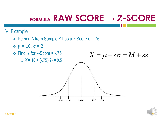- Person A from Sample Y has a *z*-Score of -.75
- $\div \mu = 10, \sigma = 2$



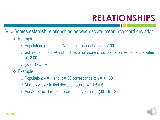### **RELATIONSHIPS**

*z*-Scores establish relationships between score, mean, standard deviation

- Example
	- o Population: μ = 65 and *X* = 59 corresponds to *z* = -2.00
	- o Subtract 65 from 59 and find deviation score of six points corresponds to *z* value of -2.00
	- $\circ$   $(X \mu)/z = \sigma$
- **← Example** 
	- o Population: *σ* = 4 and *X* = 33 corresponds to *z* = +1.50
	- $\circ$  Multiply  $\sigma$  by z to find deviation score (4  $*$  1.5 = 6)
	- $\circ$  Add/Subtract deviation score from *X* to find μ (33 6 = 27)

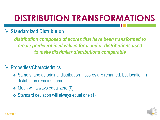# **DISTRIBUTION TRANSFORMATIONS**

#### **Standardized Distribution**

*distribution composed of scores that have been transformed to create predetermined values for μ and σ; distributions used to make dissimilar distributions comparable*

#### $\triangleright$  Properties/Characteristics

- Same shape as original distribution scores are renamed, but location in distribution remains same
- $\div$  Mean will always equal zero (0)
- Standard deviation will always equal one (1)

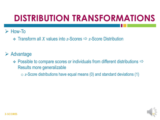### **DISTRIBUTION TRANSFORMATIONS**

#### $\triangleright$  How-To

Transform all *X* values into *z*-Scores *z*-Score Distribution

#### $\triangleright$  Advantage

- $\div$  Possible to compare scores or individuals from different distributions  $\Rightarrow$ Results more generalizable
	- o *z*-Score distributions have equal means (0) and standard deviations (1)

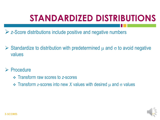# **STANDARDIZED DISTRIBUTIONS**

- *<del>≥</del>* z-Score distributions include positive and negative numbers
- $\triangleright$  Standardize to distribution with predetermined  $\mu$  and  $\sigma$  to avoid negative values
- $\triangleright$  Procedure
	- Transform raw scores to *z*-scores
	- $\div$  Transform *z*-scores into new *X* values with desired μ and σ values

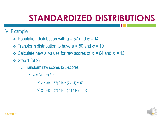### **STANDARDIZED DISTRIBUTIONS**

#### $\triangleright$  Example

- Population distribution with  $\mu$  = 57 and  $\sigma$  = 14
- Transform distribution to have  $\mu$  = 50 and  $\sigma$  = 10
- $\div$  Calculate new *X* values for raw scores of  $X = 64$  and  $X = 43$
- $\div$  Step 1 (of 2)

o Transform raw scores to *z*-scores

• 
$$
z = (X - \mu) / \sigma
$$
  
\n $\sqrt{z} = (64 - 57) / 14 = (7 / 14) = .50$   
\n $\sqrt{z} = (43 - 57) / 14 = (-14 / 14) = -1.0$ 

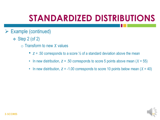### **STANDARDIZED DISTRIBUTIONS**

- Example (continued)
	- $\div$  Step 2 (of 2)
		- o Transform to new *X* values
			- *z* = .50 corresponds to a score ½ of a standard deviation above the mean
			- In new distribution, *z* = .50 corresponds to score 5 points above mean (*X* = 55)
			- In new distribution,  $z = -1.00$  corresponds to score 10 points below mean  $(X = 40)$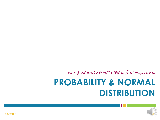using the unit normal table to find proportions

### **PROBABILITY & NORMAL DISTRIBUTION**



**Z-SCORES** 20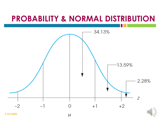### **PROBABILITY & NORMAL DISTRIBUTION**

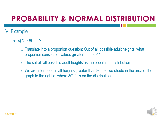### **PROBABILITY & NORMAL DISTRIBUTION**

- $p(X > 80) = ?$ 
	- $\circ$  Translate into a proportion question: Out of all possible adult heights, what proportion consists of values greater than 80"?
	- $\circ$  The set of "all possible adult heights" is the population distribution
	- $\circ$  We are interested in all heights greater than 80", so we shade in the area of the graph to the right of where 80" falls on the distribution

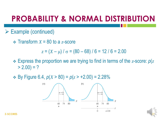### **PROBABILITY & NORMAL DISTRIBUTION**

- $\triangleright$  Example (continued)
	- $\div$  Transform  $X = 80$  to a *z*-score

 $z = (X - \mu) / \sigma = (80 - 68) / 6 = 12 / 6 = 2.00$ 

- Express the proportion we are trying to find in terms of the *z*-score: *p*(*z*  $> 2.00$ ) = ?
- $\div$  By Figure 6.4, *p*(*X* > 80) = *p*(*z* > +2.00) = 2.28%



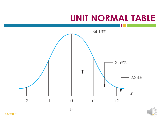### **UNIT NORMAL TABLE**



**Z-SCORES** 24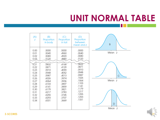### **UNIT NORMAL TABLE**

| (A)<br>Z                                                                                                       | (B)<br>Proportion<br>in body                                                                                               | (C)<br>Proportion<br>in tail                                                                                               | (D)<br>Proportion<br>between<br>mean and z                                                                                 | $\sf B$                               |
|----------------------------------------------------------------------------------------------------------------|----------------------------------------------------------------------------------------------------------------------------|----------------------------------------------------------------------------------------------------------------------------|----------------------------------------------------------------------------------------------------------------------------|---------------------------------------|
| 0.00<br>0.01<br>0.02<br>0.03                                                                                   | .5000<br>.5040<br>.5080<br>.5120                                                                                           | .5000<br>.4960<br>.4920<br>.4880                                                                                           | .0000<br>.0040<br>.0080<br>.0120                                                                                           | Mean z                                |
| র্ত.21<br>0.22<br>0.23<br>0.24<br>0.25<br>0.26<br>0.27<br>0.28<br>0.29<br>0.30<br>0.31<br>0.32<br>0.33<br>0.34 | .5832<br>.5871<br>.5910<br>.5948<br>.5987<br>.6026<br>.6064<br>.6103<br>.6141<br>.6179<br>.6217<br>.6255<br>.6293<br>.6331 | .4168<br>.4129<br>.4090<br>.4052<br>.4013<br>.3974<br>.3936<br>.3897<br>.3859<br>.3821<br>.3783<br>.3745<br>.3707<br>.3669 | .0832<br>.0871<br>.0910<br>.0948<br>.0987<br>.1026<br>.1064<br>.1103<br>.1141<br>.1179<br>.1217<br>.1255<br>.1293<br>.1331 | $\mathsf{C}$<br>Mean z<br>D<br>Mean z |

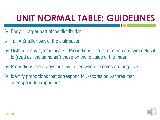# **UNIT NORMAL TABLE: GUIDELINES**

- $\triangleright$  Body = Larger part of the distribution
- $\triangleright$  Tail = Smaller part of the distribution
- $\triangleright$  Distribution is symmetrical  $\Rightarrow$  Proportions to right of mean are symmetrical to (read as "the same as") those on the left side of the mean
- Proportions are always positive, even when *z*-scores are negative
- Identify proportions that correspond to *z*-scores or *z*-scores that correspond to proportions

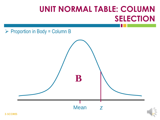### **UNIT NORMAL TABLE: COLUMN SELECTION**

 $\triangleright$  Proportion in Body = Column B

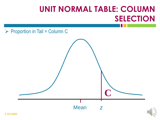### **UNIT NORMAL TABLE: COLUMN SELECTION**

 $\triangleright$  Proportion in Tail = Column C

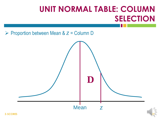### **UNIT NORMAL TABLE: COLUMN SELECTION**

Proportion between Mean & *z* = Column D

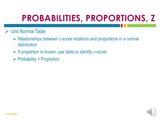# **PROBABILITIES, PROPORTIONS, Z**

#### $\triangleright$  Unit Normal Table

- Relationships between *z*-score locations and proportions in a normal distribution
- If proportion is known, use table to identify *z*-score
- $\div$  Probability = Proportion

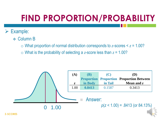- Column B
	- o What proportion of normal distribution corresponds to *z*-scores < *z* = 1.00?
	- o What is the probability of selecting a *z*-score less than *z* = 1.00?

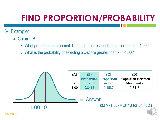- Column B
	- o What proportion of a normal distribution corresponds to *z*-scores > *z* = -1.00?
	- o What is the probability of selecting a *z*-score greater than *z* = -1.00?

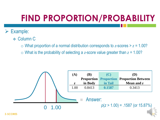- Column C
	- $\circ$  What proportion of a normal distribution corresponds to *z*-scores  $> z = 1.00$ ?
	- o What is the probability of selecting a *z*-score value greater than *z* = 1.00?

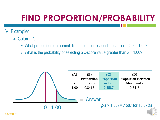- Column C
	- $\circ$  What proportion of a normal distribution corresponds to *z*-scores  $> z = 1.00$ ?
	- o What is the probability of selecting a *z*-score value greater than *z* = 1.00?

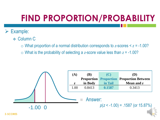- Column C
	- o What proportion of a normal distribution corresponds to *z*-scores < *z* = -1.00?
	- $\circ$  What is the probability of selecting a *z*-score value less than  $z = -1.00$ ?

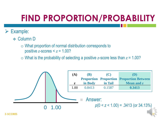#### Example:

- Column D
	- $\circ$  What proportion of normal distribution corresponds to positive  $z$ -scores  $\le z = 1.00$ ?
	- o What is the probability of selecting a positive *z*-score less than *z* = 1.00?

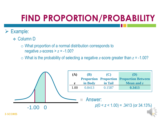#### Example:

- Column D
	- $\circ$  What proportion of a normal distribution corresponds to negative  $z$ -scores  $> z = -1.00$ ?
	- o What is the probability of selecting a negative *z*-score greater than *z* = -1.00?

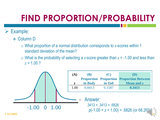- Column D
	- o What proportion of a normal distribution corresponds to *z*-scores within 1 standard deviation of the mean?
	- o What is the probability of selecting a *z*-score greater than *z* = -1.00 and less than  $z = 1.00$  ?

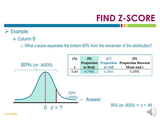# **FIND Z-SCORE**

- Example:
	- **❖ Column B** 
		- o What *z*-score separates the bottom 80% from the remainder of the distribution?

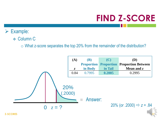# **FIND Z-SCORE**

- Example:
	- **❖ Column C** 
		- o What z-score separates the top 20% from the remainder of the distribution?

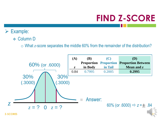# **FIND Z-SCORE**

- Example:
	- Column D
		- o What *z*-score separates the middle 60% from the remainder of the distribution?

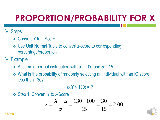#### **≻ Steps**

- Convert *X* to *z*-Score
- Use Unit Normal Table to convert *z*-score to corresponding percentage/proportion

#### $\triangleright$  Example

- $\div$  Assume a normal distribution with  $\mu$  = 100 and  $\sigma$  = 15
- What is the probability of randomly selecting an individual with an IQ score less than 130?

$$
p(X < 130) = ?
$$

Step 1: Convert *X* to *z*-Score

$$
z = \frac{X - \mu}{\sigma} = \frac{130 - 100}{15} = \frac{30}{15} = 2.00
$$

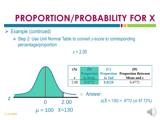- $\triangleright$  Example (continued)
	- Step 2: Use Unit Normal Table to convert *z*-score to corresponding percentage/proportion

*z* = 2.00

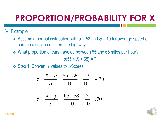#### $\triangleright$  Example

- Assume a normal distribution with  $\mu$  = 58 and  $\sigma$  = 10 for average speed of cars on a section of interstate highway
- What proportion of cars traveled between 55 and 65 miles per hour?

 $p(55 < X < 65) = ?$ 

Step 1: Convert *X* values to *z*-Scores

$$
z = \frac{X - \mu}{\sigma} = \frac{55 - 58}{10} = \frac{-3}{10} = -.30
$$

$$
z = \frac{X - \mu}{\sigma} = \frac{65 - 58}{10} = \frac{7}{10} = .70
$$

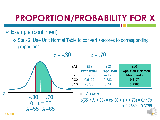- $\triangleright$  Example (continued)
	- Step 2: Use Unit Normal Table to convert *z*-scores to corresponding proportions

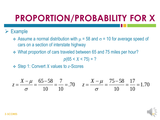#### $\triangleright$  Example

- Assume a normal distribution with  $\mu$  = 58 and  $\sigma$  = 10 for average speed of cars on a section of interstate highway
- What proportion of cars traveled between 65 and 75 miles per hour?

 $p(65 < X < 75) = ?$ 

Step 1: Convert *X* values to *z*-Scores

$$
z = \frac{X - \mu}{\sigma} = \frac{65 - 58}{10} = \frac{7}{10} = .70 \qquad z = \frac{X - \mu}{\sigma} = \frac{75 - 58}{10} = \frac{17}{10} = 1.70
$$

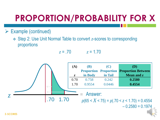- $\triangleright$  Example (continued)
	- Step 2: Use Unit Normal Table to convert *z*-scores to corresponding proportions

*z* = .70 *z* = 1.70

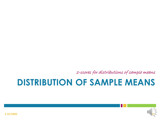z-scores for distributions of sample means

### **DISTRIBUTION OF SAMPLE MEANS**



**Z-SCORES** 48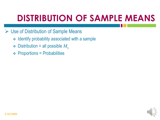**► Use of Distribution of Sample Means** 

- $\div$  Identify probability associated with a sample
- $\div$  Distribution = all possible  $M_s$
- $\div$  Proportions = Probabilities

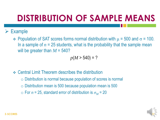#### $\triangleright$  Example

• Population of SAT scores forms normal distribution with  $\mu$  = 500 and  $\sigma$  = 100. In a sample of  $n = 25$  students, what is the probability that the sample mean will be greater than *M* = 540?

$$
p(M > 540) = ?
$$

- Central Limit Theorem describes the distribution
	- $\circ$  Distribution is normal because population of scores is normal
	- $\circ$  Distribution mean is 500 because population mean is 500
	- $\circ$  For *n* = 25, standard error of distribution is  $\sigma_M$  = 20

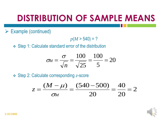$\triangleright$  Example (continued)

 $p(M > 540) = ?$ 

Step 1: Calculate standard error of the distribution

$$
\sigma_M = \frac{\sigma}{\sqrt{n}} = \frac{100}{\sqrt{25}} = \frac{100}{5} = 20
$$

Step 2: Calculate corresponding *z*-score

$$
z = \frac{(M - \mu)}{\sigma_M} = \frac{(540 - 500)}{20} = \frac{40}{20} = 2
$$

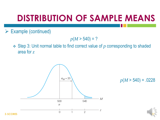$\triangleright$  Example (continued)

 $p(M > 540) = ?$ 

 Step 3: Unit normal table to find correct value of *p* corresponding to shaded area for *z*



*p*(*M* > 540) = .0228

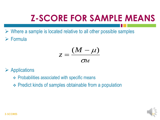- $\triangleright$  Where a sample is located relative to all other possible samples
- Formula

$$
z=\frac{(M-\mu)}{\sigma_M}
$$

- $\triangleright$  Applications
	- $\div$  Probabilities associated with specific means
	- Predict kinds of samples obtainable from a population

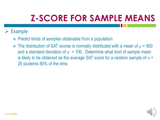- Predict kinds of samples obtainable from a population
- The distribution of SAT scores is normally distributed with a mean of *μ* = 500 and a standard deviation of  $\sigma = 100$ . Determine what kind of sample mean is likely to be obtained as the average SAT score for a random sample of *n* = 25 students 80% of the time.

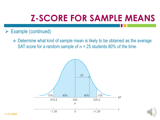#### $\triangleright$  Example (continued)

 Determine what kind of sample mean is likely to be obtained as the average SAT score for a random sample of  $n = 25$  students 80% of the time.